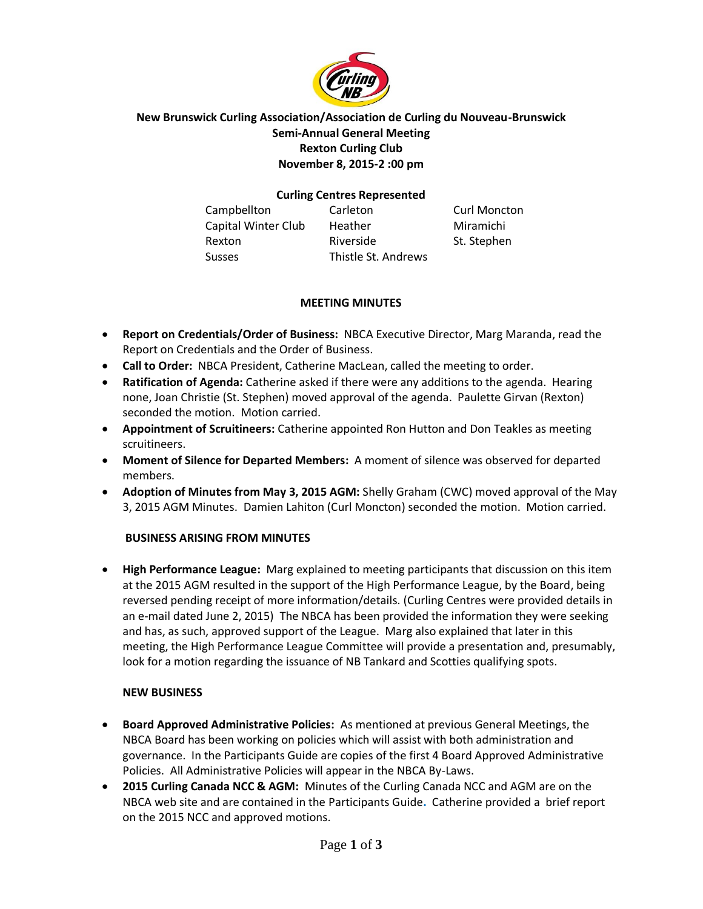

# **New Brunswick Curling Association/Association de Curling du Nouveau-Brunswick Semi-Annual General Meeting Rexton Curling Club November 8, 2015-2 :00 pm**

### **Curling Centres Represented**

| Campbellton         | Carleton            | <b>Curl Moncton</b> |
|---------------------|---------------------|---------------------|
| Capital Winter Club | Heather             | Miramichi           |
| Rexton              | Riverside           | St. Stephen         |
| <b>Susses</b>       | Thistle St. Andrews |                     |

## **MEETING MINUTES**

- **Report on Credentials/Order of Business:** NBCA Executive Director, Marg Maranda, read the Report on Credentials and the Order of Business.
- **Call to Order:** NBCA President, Catherine MacLean, called the meeting to order.
- **Ratification of Agenda:** Catherine asked if there were any additions to the agenda. Hearing none, Joan Christie (St. Stephen) moved approval of the agenda. Paulette Girvan (Rexton) seconded the motion. Motion carried.
- **Appointment of Scruitineers:** Catherine appointed Ron Hutton and Don Teakles as meeting scruitineers.
- **Moment of Silence for Departed Members:** A moment of silence was observed for departed members.
- **Adoption of Minutes from May 3, 2015 AGM:** Shelly Graham (CWC) moved approval of the May 3, 2015 AGM Minutes. Damien Lahiton (Curl Moncton) seconded the motion. Motion carried.

# **BUSINESS ARISING FROM MINUTES**

 **High Performance League:** Marg explained to meeting participants that discussion on this item at the 2015 AGM resulted in the support of the High Performance League, by the Board, being reversed pending receipt of more information/details. (Curling Centres were provided details in an e-mail dated June 2, 2015) The NBCA has been provided the information they were seeking and has, as such, approved support of the League. Marg also explained that later in this meeting, the High Performance League Committee will provide a presentation and, presumably, look for a motion regarding the issuance of NB Tankard and Scotties qualifying spots.

### **NEW BUSINESS**

- **Board Approved Administrative Policies:** As mentioned at previous General Meetings, the NBCA Board has been working on policies which will assist with both administration and governance. In the Participants Guide are copies of the first 4 Board Approved Administrative Policies. All Administrative Policies will appear in the NBCA By-Laws.
- **2015 Curling Canada NCC & AGM:** Minutes of the Curling Canada NCC and AGM are on the NBCA web site and are contained in the Participants Guide**.** Catherine provided a brief report on the 2015 NCC and approved motions.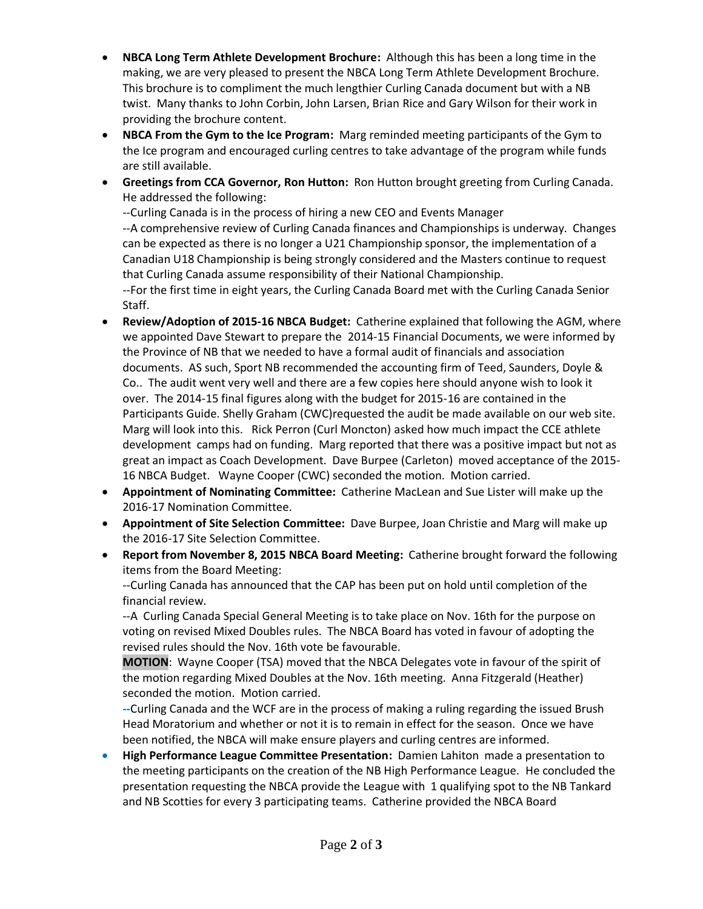- **NBCA Long Term Athlete Development Brochure:** Although this has been a long time in the making, we are very pleased to present the NBCA Long Term Athlete Development Brochure. This brochure is to compliment the much lengthier Curling Canada document but with a NB twist. Many thanks to John Corbin, John Larsen, Brian Rice and Gary Wilson for their work in providing the brochure content.
- **NBCA From the Gym to the Ice Program:** Marg reminded meeting participants of the Gym to the Ice program and encouraged curling centres to take advantage of the program while funds are still available.
- **Greetings from CCA Governor, Ron Hutton:** Ron Hutton brought greeting from Curling Canada. He addressed the following:

--Curling Canada is in the process of hiring a new CEO and Events Manager --A comprehensive review of Curling Canada finances and Championships is underway. Changes can be expected as there is no longer a U21 Championship sponsor, the implementation of a Canadian U18 Championship is being strongly considered and the Masters continue to request that Curling Canada assume responsibility of their National Championship. --For the first time in eight years, the Curling Canada Board met with the Curling Canada Senior Staff.

- **Review/Adoption of 2015-16 NBCA Budget:** Catherine explained that following the AGM, where we appointed Dave Stewart to prepare the 2014-15 Financial Documents, we were informed by the Province of NB that we needed to have a formal audit of financials and association documents. AS such, Sport NB recommended the accounting firm of Teed, Saunders, Doyle & Co.. The audit went very well and there are a few copies here should anyone wish to look it over. The 2014-15 final figures along with the budget for 2015-16 are contained in the Participants Guide. Shelly Graham (CWC)requested the audit be made available on our web site. Marg will look into this. Rick Perron (Curl Moncton) asked how much impact the CCE athlete development camps had on funding. Marg reported that there was a positive impact but not as great an impact as Coach Development. Dave Burpee (Carleton) moved acceptance of the 2015- 16 NBCA Budget. Wayne Cooper (CWC) seconded the motion. Motion carried.
- **Appointment of Nominating Committee:** Catherine MacLean and Sue Lister will make up the 2016-17 Nomination Committee.
- **Appointment of Site Selection Committee:** Dave Burpee, Joan Christie and Marg will make up the 2016-17 Site Selection Committee.
- **Report from November 8, 2015 NBCA Board Meeting:** Catherine brought forward the following items from the Board Meeting:

--Curling Canada has announced that the CAP has been put on hold until completion of the financial review.

--A Curling Canada Special General Meeting is to take place on Nov. 16th for the purpose on voting on revised Mixed Doubles rules. The NBCA Board has voted in favour of adopting the revised rules should the Nov. 16th vote be favourable.

**MOTION**: Wayne Cooper (TSA) moved that the NBCA Delegates vote in favour of the spirit of the motion regarding Mixed Doubles at the Nov. 16th meeting. Anna Fitzgerald (Heather) seconded the motion. Motion carried.

**--**Curling Canada and the WCF are in the process of making a ruling regarding the issued Brush Head Moratorium and whether or not it is to remain in effect for the season. Once we have been notified, the NBCA will make ensure players and curling centres are informed.

 **High Performance League Committee Presentation:** Damien Lahiton made a presentation to the meeting participants on the creation of the NB High Performance League. He concluded the presentation requesting the NBCA provide the League with 1 qualifying spot to the NB Tankard and NB Scotties for every 3 participating teams. Catherine provided the NBCA Board